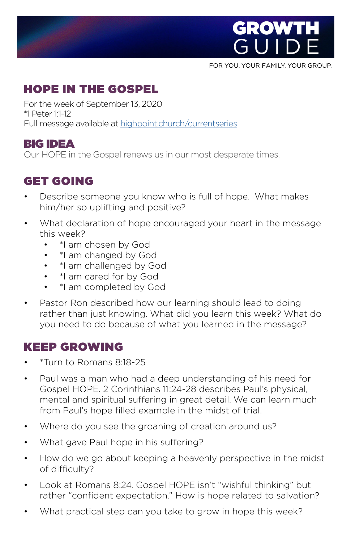

FOR YOU. YOUR FAMILY. YOUR GROUP.

# HOPE IN THE GOSPEL

For the week of September 13, 2020 \*1 Peter 1:1-12 Full message available at [highpoint.church/currentseries](http://highpoint.church/currentseries)

#### BIG IDEA

Our HOPE in the Gospel renews us in our most desperate times.

# GET GOIN[G](https://www.highpoint.church/reconciliation/)

- Describe someone you know who is full of hope. What makes him/her so uplifting and positive?
- What declaration of hope encouraged your heart in the message this week?
	- \*I am chosen by God
	- \*I am changed by God
	- \*I am challenged by God
	- \*I am cared for by God
	- \*I am completed by God
- Pastor Ron described how our learning should lead to doing rather than just knowing. What did you learn this week? What do you need to do because of what you learned in the message?

### KEEP GROWING

- \*Turn to Romans 8:18-25
- Paul was a man who had a deep understanding of his need for Gospel HOPE. 2 Corinthians 11:24-28 describes Paul's physical, mental and spiritual suffering in great detail. We can learn much from Paul's hope filled example in the midst of trial.
- Where do you see the groaning of creation around us?
- What gave Paul hope in his suffering?
- How do we go about keeping a heavenly perspective in the midst of difficulty?
- Look at Romans 8:24. Gospel HOPE isn't "wishful thinking" but rather "confident expectation." How is hope related to salvation?
- What practical step can you take to grow in hope this week?